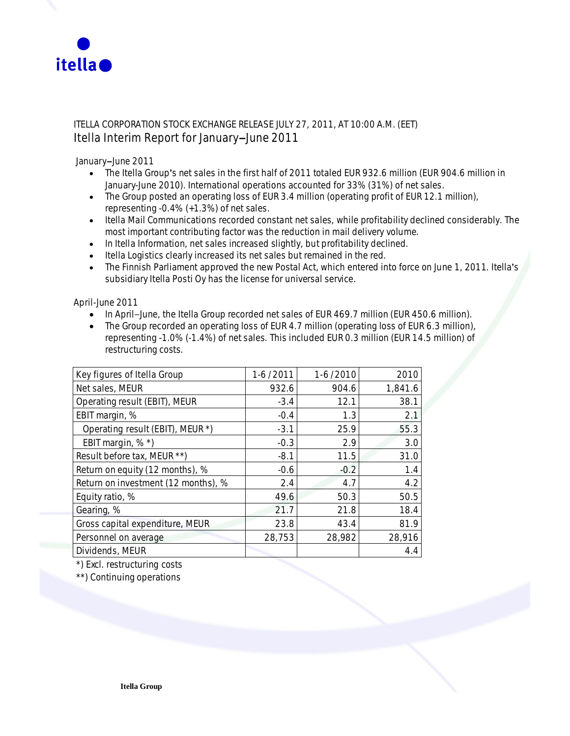

# ITELLA CORPORATION STOCK EXCHANGE RELEASE JULY 27, 2011, AT 10:00 A.M. (EET) **Itella Interim Report for JanuarymJune 2011**

January-June 2011

- The Itella Group's net sales in the first half of 2011 totaled EUR 932.6 million (EUR 904.6 million in January-June 2010). International operations accounted for 33% (31%) of net sales.
- The Group posted an operating loss of EUR 3.4 million (operating profit of EUR 12.1 million), representing -0.4% (+1.3%) of net sales.
- Itella Mail Communications recorded constant net sales, while profitability declined considerably. The most important contributing factor was the reduction in mail delivery volume.
- In Itella Information, net sales increased slightly, but profitability declined.
- Itella Logistics clearly increased its net sales but remained in the red.
- The Finnish Parliament approved the new Postal Act, which entered into force on June 1, 2011. Itella's subsidiary Itella Posti Oy has the license for universal service.

**April-June 2011**

- In April–June, the Itella Group recorded net sales of EUR 469.7 million (EUR 450.6 million).
- The Group recorded an operating loss of EUR 4.7 million (operating loss of EUR 6.3 million), representing -1.0% (-1.4%) of net sales. This included EUR 0.3 million (EUR 14.5 million) of restructuring costs.

| Key figures of Itella Group         | 1-6/2011 | $1-6/2010$ | 2010    |
|-------------------------------------|----------|------------|---------|
| Net sales, MEUR                     | 932.6    | 904.6      | 1,841.6 |
| Operating result (EBIT), MEUR       | $-3.4$   | 12.1       | 38.1    |
| EBIT margin, %                      | $-0.4$   | 1.3        | 2.1     |
| Operating result (EBIT), MEUR *)    | $-3.1$   | 25.9       | 55.3    |
| EBIT margin, %*)                    | $-0.3$   | 2.9        | 3.0     |
| Result before tax, MEUR **)         | $-8.1$   | 11.5       | 31.0    |
| Return on equity (12 months), %     | $-0.6$   | $-0.2$     | 1.4     |
| Return on investment (12 months), % | 2.4      | 4.7        | 4.2     |
| Equity ratio, %                     | 49.6     | 50.3       | 50.5    |
| Gearing, %                          | 21.7     | 21.8       | 18.4    |
| Gross capital expenditure, MEUR     | 23.8     | 43.4       | 81.9    |
| Personnel on average                | 28,753   | 28,982     | 28,916  |
| Dividends, MEUR                     |          |            | 4.4     |

*\*) Excl. restructuring costs*

\*\*) Continuing operations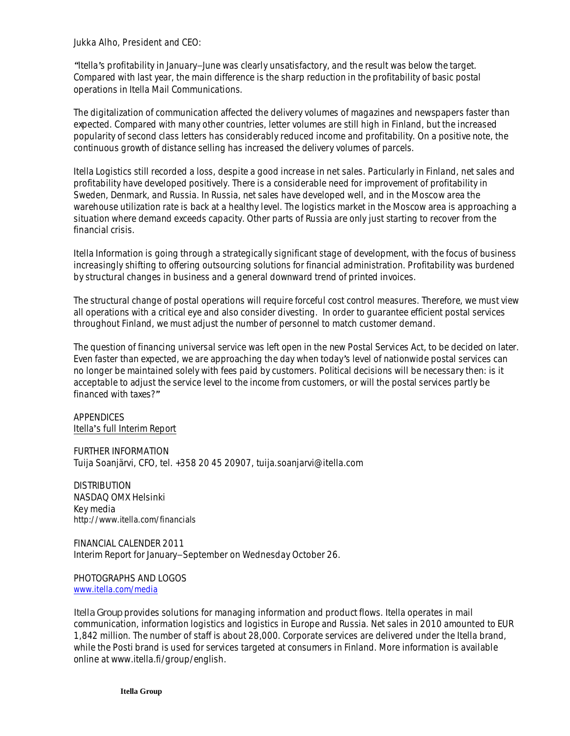**Jukka Alho, President and CEO:**

*gItellas profitability in JanuarymJune was clearly unsatisfactory, and the result was below the target. Compared with last year, the main difference is the sharp reduction in the profitability of basic postal operations in Itella Mail Communications.*

*The digitalization of communication affected the delivery volumes of magazines and newspapers faster than expected. Compared with many other countries, letter volumes are still high in Finland, but the increased popularity of second class letters has considerably reduced income and profitability. On a positive note, the continuous growth of distance selling has increased the delivery volumes of parcels.*

*Itella Logistics still recorded a loss, despite a good increase in net sales. Particularly in Finland, net sales and profitability have developed positively. There is a considerable need for improvement of profitability in Sweden, Denmark, and Russia. In Russia, net sales have developed well, and in the Moscow area the warehouse utilization rate is back at a healthy level. The logistics market in the Moscow area is approaching a situation where demand exceeds capacity. Other parts of Russia are only just starting to recover from the financial crisis.*

*Itella Information is going through a strategically significant stage of development, with the focus of business increasingly shifting to offering outsourcing solutions for financial administration. Profitability was burdened by structural changes in business and a general downward trend of printed invoices.*

*The structural change of postal operations will require forceful cost control measures. Therefore, we must view all operations with a critical eye and also consider divesting. In order to guarantee efficient postal services throughout Finland, we must adjust the number of personnel to match customer demand.*

*The question of financing universal service was left open in the new Postal Services Act, to be decided on later. Even faster than expected, we are approaching the day when todays level of nationwide postal services can no longer be maintained solely with fees paid by customers. Political decisions will be necessary then: is it acceptable to adjust the service level to the income from customers, or will the postal services partly be financed with taxes?u*

APPENDICES Itella's full Interim Report

FURTHER INFORMATION Tuija Soanjärvi, CFO, tel. +358 20 45 20907, tuija.soanjarvi@itella.com

DISTRIBUTION NASDAQ OMX Helsinki Key media http://www.itella.com/financials

FINANCIAL CALENDER 2011 Interim Report for January-September on Wednesday October 26.

PHOTOGRAPHS AND LOGOS www.itella.com/media

*Itella Group provides solutions for managing information and product flows. Itella operates in mail communication, information logistics and logistics in Europe and Russia. Net sales in 2010 amounted to EUR 1,842 million. The number of staff is about 28,000. Corporate services are delivered under the Itella brand, while the Posti brand is used for services targeted at consumers in Finland. More information is available online at www.itella.fi/group/english.*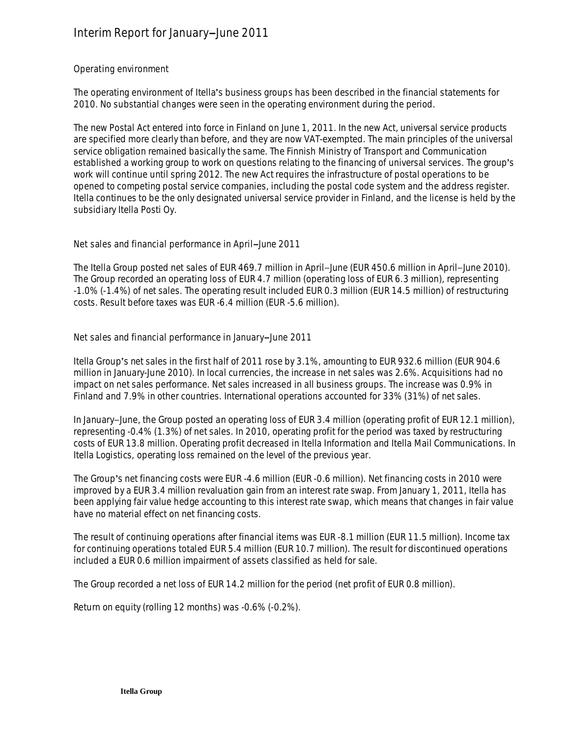# **Interim Report for January-June 2011**

### **Operating environment**

The operating environment of Itella's business groups has been described in the financial statements for 2010. No substantial changes were seen in the operating environment during the period.

The new Postal Act entered into force in Finland on June 1, 2011. In the new Act, universal service products are specified more clearly than before, and they are now VAT-exempted. The main principles of the universal service obligation remained basically the same. The Finnish Ministry of Transport and Communication established a working group to work on questions relating to the financing of universal services. The group's work will continue until spring 2012. The new Act requires the infrastructure of postal operations to be opened to competing postal service companies, including the postal code system and the address register. Itella continues to be the only designated universal service provider in Finland, and the license is held by the subsidiary Itella Posti Oy.

Net sales and financial performance in April-June 2011

The Itella Group posted net sales of EUR 469.7 million in April-June (EUR 450.6 million in April-June 2010). The Group recorded an operating loss of EUR 4.7 million (operating loss of EUR 6.3 million), representing -1.0% (-1.4%) of net sales. The operating result included EUR 0.3 million (EUR 14.5 million) of restructuring costs. Result before taxes was EUR -6.4 million (EUR -5.6 million).

Net sales and financial performance in January-June 2011

Itella Group's net sales in the first half of 2011 rose by 3.1%, amounting to EUR 932.6 million (EUR 904.6) million in January-June 2010). In local currencies, the increase in net sales was 2.6%. Acquisitions had no impact on net sales performance. Net sales increased in all business groups. The increase was 0.9% in Finland and 7.9% in other countries. International operations accounted for 33% (31%) of net sales.

In January-June, the Group posted an operating loss of EUR 3.4 million (operating profit of EUR 12.1 million), representing -0.4% (1.3%) of net sales. In 2010, operating profit for the period was taxed by restructuring costs of EUR 13.8 million. Operating profit decreased in Itella Information and Itella Mail Communications. In Itella Logistics, operating loss remained on the level of the previous year.

The Group's net financing costs were EUR -4.6 million (EUR -0.6 million). Net financing costs in 2010 were improved by a EUR 3.4 million revaluation gain from an interest rate swap. From January 1, 2011, Itella has been applying fair value hedge accounting to this interest rate swap, which means that changes in fair value have no material effect on net financing costs.

The result of continuing operations after financial items was EUR -8.1 million (EUR 11.5 million). Income tax for continuing operations totaled EUR 5.4 million (EUR 10.7 million). The result for discontinued operations included a EUR 0.6 million impairment of assets classified as held for sale.

The Group recorded a net loss of EUR 14.2 million for the period (net profit of EUR 0.8 million).

Return on equity (rolling 12 months) was -0.6% (-0.2%).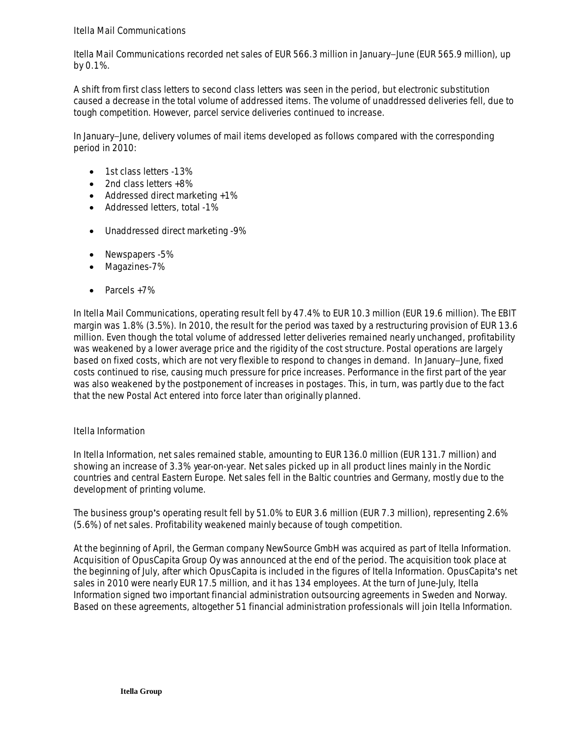## **Itella Mail Communications**

Itella Mail Communications recorded net sales of EUR 566.3 million in January–June (EUR 565.9 million), up by 0.1%.

A shift from first class letters to second class letters was seen in the period, but electronic substitution caused a decrease in the total volume of addressed items. The volume of unaddressed deliveries fell, due to tough competition. However, parcel service deliveries continued to increase.

In January-June, delivery volumes of mail items developed as follows compared with the corresponding period in 2010:

- 1st class letters -13%
- 2nd class letters +8%
- $\bullet$  Addressed direct marketing  $+1\%$
- Addressed letters, total -1%
- Unaddressed direct marketing -9%
- Newspapers -5%
- Magazines-7%
- $\bullet$  Parcels +7%

In Itella Mail Communications, operating result fell by 47.4% to EUR 10.3 million (EUR 19.6 million). The EBIT margin was 1.8% (3.5%). In 2010, the result for the period was taxed by a restructuring provision of EUR 13.6 million. Even though the total volume of addressed letter deliveries remained nearly unchanged, profitability was weakened by a lower average price and the rigidity of the cost structure. Postal operations are largely based on fixed costs, which are not very flexible to respond to changes in demand. In January–June, fixed costs continued to rise, causing much pressure for price increases. Performance in the first part of the year was also weakened by the postponement of increases in postages. This, in turn, was partly due to the fact that the new Postal Act entered into force later than originally planned.

## **Itella Information**

In Itella Information, net sales remained stable, amounting to EUR 136.0 million (EUR 131.7 million) and showing an increase of 3.3% year-on-year. Net sales picked up in all product lines mainly in the Nordic countries and central Eastern Europe. Net sales fell in the Baltic countries and Germany, mostly due to the development of printing volume.

The business group's operating result fell by 51.0% to EUR 3.6 million (EUR 7.3 million), representing 2.6% (5.6%) of net sales. Profitability weakened mainly because of tough competition.

At the beginning of April, the German company NewSource GmbH was acquired as part of Itella Information. Acquisition of OpusCapita Group Oy was announced at the end of the period. The acquisition took place at the beginning of July, after which OpusCapita is included in the figures of Itella Information. OpusCapita's net sales in 2010 were nearly EUR 17.5 million, and it has 134 employees. At the turn of June-July, Itella Information signed two important financial administration outsourcing agreements in Sweden and Norway. Based on these agreements, altogether 51 financial administration professionals will join Itella Information.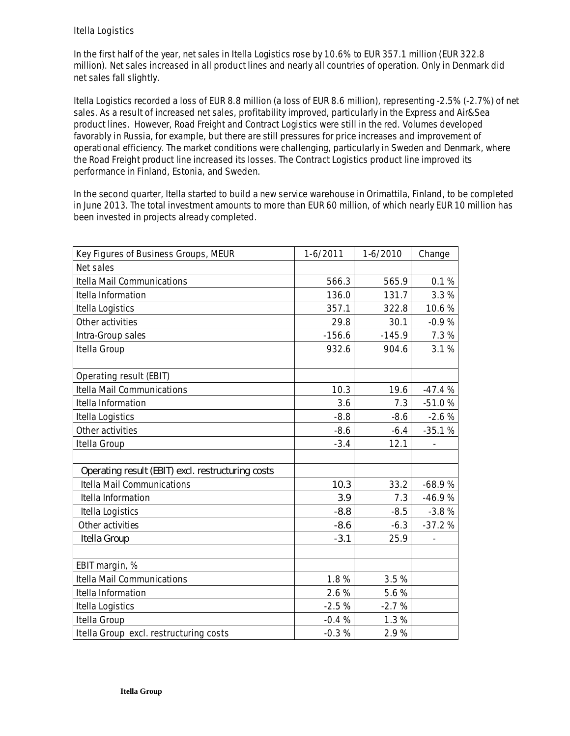## **Itella Logistics**

In the first half of the year, net sales in Itella Logistics rose by 10.6% to EUR 357.1 million (EUR 322.8 million). Net sales increased in all product lines and nearly all countries of operation. Only in Denmark did net sales fall slightly.

Itella Logistics recorded a loss of EUR 8.8 million (a loss of EUR 8.6 million), representing -2.5% (-2.7%) of net sales. As a result of increased net sales, profitability improved, particularly in the Express and Air&Sea product lines. However, Road Freight and Contract Logistics were still in the red. Volumes developed favorably in Russia, for example, but there are still pressures for price increases and improvement of operational efficiency. The market conditions were challenging, particularly in Sweden and Denmark, where the Road Freight product line increased its losses. The Contract Logistics product line improved its performance in Finland, Estonia, and Sweden.

In the second quarter, Itella started to build a new service warehouse in Orimattila, Finland, to be completed in June 2013. The total investment amounts to more than EUR 60 million, of which nearly EUR 10 million has been invested in projects already completed.

| Key Figures of Business Groups, MEUR              | $1-6/2011$ | $1-6/2010$ | Change   |
|---------------------------------------------------|------------|------------|----------|
| Net sales                                         |            |            |          |
| <b>Itella Mail Communications</b>                 | 566.3      | 565.9      | 0.1%     |
| Itella Information                                | 136.0      | 131.7      | 3.3%     |
| Itella Logistics                                  | 357.1      | 322.8      | 10.6%    |
| Other activities                                  | 29.8       | 30.1       | $-0.9%$  |
| Intra-Group sales                                 | $-156.6$   | $-145.9$   | 7.3%     |
| Itella Group                                      | 932.6      | 904.6      | 3.1%     |
|                                                   |            |            |          |
| Operating result (EBIT)                           |            |            |          |
| <b>Itella Mail Communications</b>                 | 10.3       | 19.6       | $-47.4%$ |
| Itella Information                                | 3.6        | 7.3        | $-51.0%$ |
| Itella Logistics                                  | $-8.8$     | $-8.6$     | $-2.6%$  |
| Other activities                                  | $-8.6$     | $-6.4$     | $-35.1%$ |
| Itella Group                                      | $-3.4$     | 12.1       |          |
|                                                   |            |            |          |
| Operating result (EBIT) excl. restructuring costs |            |            |          |
| <b>Itella Mail Communications</b>                 | 10.3       | 33.2       | $-68.9%$ |
| Itella Information                                | 3.9        | 7.3        | $-46.9%$ |
| Itella Logistics                                  | $-8.8$     | $-8.5$     | $-3.8%$  |
| Other activities                                  | $-8.6$     | $-6.3$     | $-37.2%$ |
| Itella Group                                      | $-3.1$     | 25.9       |          |
|                                                   |            |            |          |
| EBIT margin, %                                    |            |            |          |
| <b>Itella Mail Communications</b>                 | 1.8%       | 3.5%       |          |
| Itella Information                                | 2.6%       | 5.6%       |          |
| Itella Logistics                                  | $-2.5%$    | $-2.7%$    |          |
| Itella Group                                      | $-0.4%$    | 1.3%       |          |
| Itella Group excl. restructuring costs            | $-0.3%$    | 2.9%       |          |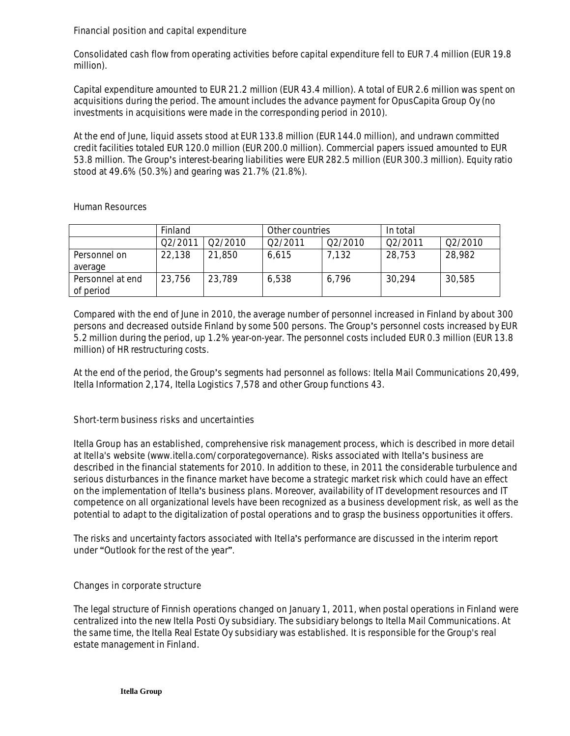**Financial position and capital expenditure**

Consolidated cash flow from operating activities before capital expenditure fell to EUR 7.4 million (EUR 19.8 million).

Capital expenditure amounted to EUR 21.2 million (EUR 43.4 million). A total of EUR 2.6 million was spent on acquisitions during the period. The amount includes the advance payment for OpusCapita Group Oy (no investments in acquisitions were made in the corresponding period in 2010).

At the end of June, liquid assets stood at EUR 133.8 million (EUR 144.0 million), and undrawn committed credit facilities totaled EUR 120.0 million (EUR 200.0 million). Commercial papers issued amounted to EUR 53.8 million. The Group's interest-bearing liabilities were EUR 282.5 million (EUR 300.3 million). Equity ratio stood at 49.6% (50.3%) and gearing was 21.7% (21.8%).

## **Human Resources**

|                  | Finland | Other countries |         |         | In total |         |
|------------------|---------|-----------------|---------|---------|----------|---------|
|                  | 02/2011 | 02/2010         | 02/2011 | 02/2010 | 02/2011  | 02/2010 |
| Personnel on     | 22,138  | 21,850          | 6.615   | 7.132   | 28,753   | 28,982  |
| average          |         |                 |         |         |          |         |
| Personnel at end | 23,756  | 23,789          | 6,538   | 6,796   | 30,294   | 30,585  |
| of period        |         |                 |         |         |          |         |

Compared with the end of June in 2010, the average number of personnel increased in Finland by about 300 persons and decreased outside Finland by some 500 persons. The Group's personnel costs increased by EUR 5.2 million during the period, up 1.2% year-on-year. The personnel costs included EUR 0.3 million (EUR 13.8 million) of HR restructuring costs.

At the end of the period, the Group's segments had personnel as follows: Itella Mail Communications 20,499, Itella Information 2,174, Itella Logistics 7,578 and other Group functions 43.

## **Short-term business risks and uncertainties**

Itella Group has an established, comprehensive risk management process, which is described in more detail at Itella's website (www.itella.com/corporategovernance). Risks associated with Itella's business are described in the financial statements for 2010. In addition to these, in 2011 the considerable turbulence and serious disturbances in the finance market have become a strategic market risk which could have an effect on the implementation of Itella's business plans. Moreover, availability of IT development resources and IT competence on all organizational levels have been recognized as a business development risk, as well as the potential to adapt to the digitalization of postal operations and to grasp the business opportunities it offers.

The risks and uncertainty factors associated with Itella's performance are discussed in the interim report under "Outlook for the rest of the year".

## **Changes in corporate structure**

The legal structure of Finnish operations changed on January 1, 2011, when postal operations in Finland were centralized into the new Itella Posti Oy subsidiary. The subsidiary belongs to Itella Mail Communications. At the same time, the Itella Real Estate Oy subsidiary was established. It is responsible for the Group's real estate management in Finland.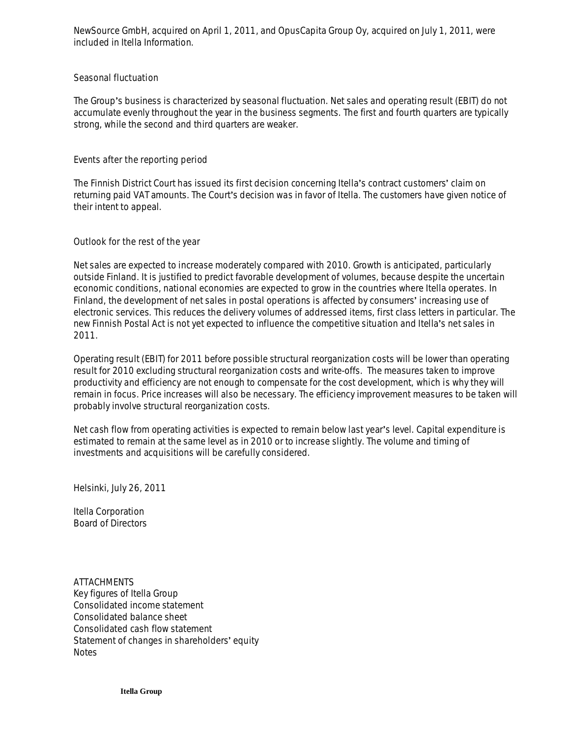NewSource GmbH, acquired on April 1, 2011, and OpusCapita Group Oy, acquired on July 1, 2011, were included in Itella Information.

#### **Seasonal fluctuation**

The Group's business is characterized by seasonal fluctuation. Net sales and operating result (EBIT) do not accumulate evenly throughout the year in the business segments. The first and fourth quarters are typically strong, while the second and third quarters are weaker.

#### **Events after the reporting period**

The Finnish District Court has issued its first decision concerning Itella's contract customers' claim on returning paid VAT amounts. The Court's decision was in favor of Itella. The customers have given notice of their intent to appeal.

#### **Outlook for the rest of the year**

Net sales are expected to increase moderately compared with 2010. Growth is anticipated, particularly outside Finland. It is justified to predict favorable development of volumes, because despite the uncertain economic conditions, national economies are expected to grow in the countries where Itella operates. In Finland, the development of net sales in postal operations is affected by consumers' increasing use of electronic services. This reduces the delivery volumes of addressed items, first class letters in particular. The new Finnish Postal Act is not yet expected to influence the competitive situation and Itella's net sales in 2011.

Operating result (EBIT) for 2011 before possible structural reorganization costs will be lower than operating result for 2010 excluding structural reorganization costs and write-offs. The measures taken to improve productivity and efficiency are not enough to compensate for the cost development, which is why they will remain in focus. Price increases will also be necessary. The efficiency improvement measures to be taken will probably involve structural reorganization costs.

Net cash flow from operating activities is expected to remain below last year's level. Capital expenditure is estimated to remain at the same level as in 2010 or to increase slightly. The volume and timing of investments and acquisitions will be carefully considered.

Helsinki, July 26, 2011

Itella Corporation Board of Directors

**ATTACHMENTS** Key figures of Itella Group Consolidated income statement Consolidated balance sheet Consolidated cash flow statement Statement of changes in shareholders' equity **Notes**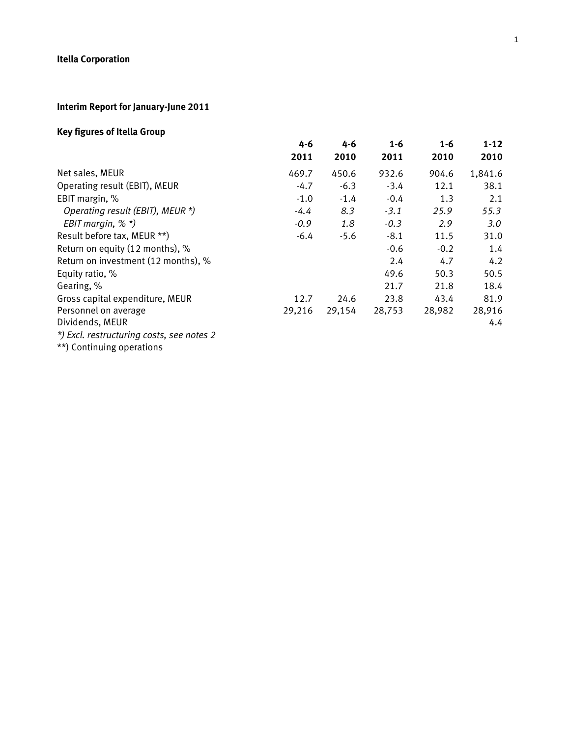# **Interim Report for January-June 2011**

# **Key figures of Itella Group**

|                                           | $4 - 6$ | 4-6    | $1 - 6$ | $1 - 6$ | $1 - 12$ |
|-------------------------------------------|---------|--------|---------|---------|----------|
|                                           | 2011    | 2010   | 2011    | 2010    | 2010     |
| Net sales, MEUR                           | 469.7   | 450.6  | 932.6   | 904.6   | 1,841.6  |
| Operating result (EBIT), MEUR             | $-4.7$  | $-6.3$ | $-3.4$  | 12.1    | 38.1     |
| EBIT margin, %                            | $-1.0$  | $-1.4$ | $-0.4$  | 1.3     | 2.1      |
| Operating result (EBIT), MEUR *)          | $-4.4$  | 8.3    | $-3.1$  | 25.9    | 55.3     |
| EBIT margin, $%$ $*$ )                    | $-0.9$  | 1.8    | $-0.3$  | 2.9     | 3.0      |
| Result before tax, MEUR **)               | $-6.4$  | $-5.6$ | $-8.1$  | 11.5    | 31.0     |
| Return on equity (12 months), %           |         |        | $-0.6$  | $-0.2$  | 1.4      |
| Return on investment (12 months), %       |         |        | 2.4     | 4.7     | 4.2      |
| Equity ratio, %                           |         |        | 49.6    | 50.3    | 50.5     |
| Gearing, %                                |         |        | 21.7    | 21.8    | 18.4     |
| Gross capital expenditure, MEUR           | 12.7    | 24.6   | 23.8    | 43.4    | 81.9     |
| Personnel on average                      | 29,216  | 29,154 | 28,753  | 28,982  | 28,916   |
| Dividends, MEUR                           |         |        |         |         | 4.4      |
| *) Excl. restructuring costs, see notes 2 |         |        |         |         |          |
|                                           |         |        |         |         |          |

\*\*) Continuing operations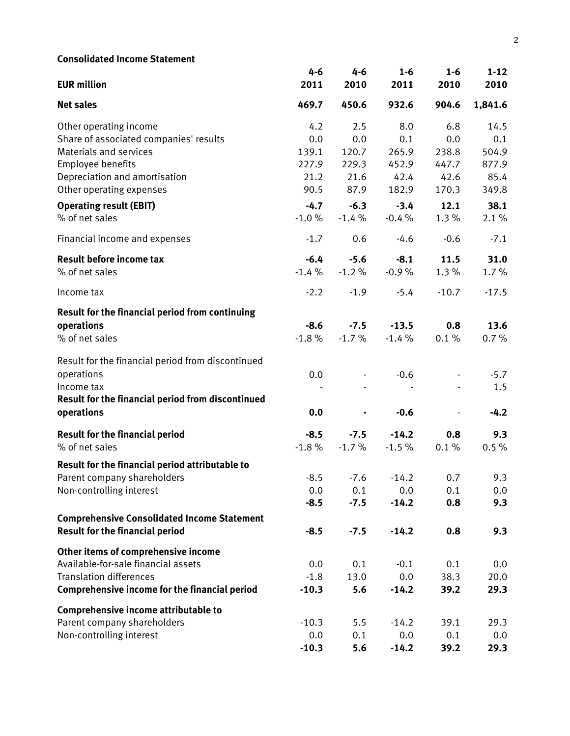| <b>Consolidated Income Statement</b>                 |         |         |         |                |          |
|------------------------------------------------------|---------|---------|---------|----------------|----------|
|                                                      | $4 - 6$ | $4 - 6$ | $1 - 6$ | $1 - 6$        | $1 - 12$ |
| <b>EUR million</b>                                   | 2011    | 2010    | 2011    | 2010           | 2010     |
| <b>Net sales</b>                                     | 469.7   | 450.6   | 932.6   | 904.6          | 1,841.6  |
| Other operating income                               | 4.2     | 2.5     | 8.0     | 6.8            | 14.5     |
| Share of associated companies' results               | 0.0     | 0.0     | 0.1     | 0.0            | 0.1      |
| <b>Materials and services</b>                        | 139.1   | 120.7   | 265.9   | 238.8          | 504.9    |
| Employee benefits                                    | 227.9   | 229.3   | 452.9   | 447.7          | 877.9    |
| Depreciation and amortisation                        | 21.2    | 21.6    | 42.4    | 42.6           | 85.4     |
| Other operating expenses                             | 90.5    | 87.9    | 182.9   | 170.3          | 349.8    |
| <b>Operating result (EBIT)</b>                       | $-4.7$  | $-6.3$  | $-3.4$  | 12.1           | 38.1     |
| % of net sales                                       | $-1.0%$ | $-1.4%$ | $-0.4%$ | 1.3%           | 2.1%     |
| Financial income and expenses                        | $-1.7$  | 0.6     | $-4.6$  | $-0.6$         | $-7.1$   |
| <b>Result before income tax</b>                      | $-6.4$  | $-5.6$  | $-8.1$  | 11.5           | 31.0     |
| % of net sales                                       | $-1.4%$ | $-1.2%$ | $-0.9%$ | 1.3%           | 1.7%     |
| Income tax                                           | $-2.2$  | $-1.9$  | $-5.4$  | $-10.7$        | $-17.5$  |
| Result for the financial period from continuing      |         |         |         |                |          |
| operations                                           | $-8.6$  | $-7.5$  | $-13.5$ | 0.8            | 13.6     |
| % of net sales                                       | $-1.8%$ | $-1.7%$ | $-1.4%$ | 0.1%           | 0.7%     |
| Result for the financial period from discontinued    |         |         |         |                |          |
| operations                                           | 0.0     |         | $-0.6$  |                | $-5.7$   |
| Income tax                                           |         |         |         |                | 1.5      |
| Result for the financial period from discontinued    |         |         |         |                |          |
| operations                                           | 0.0     | Ξ.      | $-0.6$  | $\blacksquare$ | $-4.2$   |
| <b>Result for the financial period</b>               | $-8.5$  | $-7.5$  | $-14.2$ | 0.8            | 9.3      |
| % of net sales                                       | $-1.8%$ | $-1.7%$ | $-1.5%$ | 0.1%           | 0.5%     |
| Result for the financial period attributable to      |         |         |         |                |          |
| Parent company shareholders                          | $-8.5$  | $-7.6$  | $-14.2$ | 0.7            | 9.3      |
| Non-controlling interest                             | 0.0     | 0.1     | 0.0     | 0.1            | 0.0      |
|                                                      | $-8.5$  | $-7.5$  | $-14.2$ | 0.8            | 9.3      |
| <b>Comprehensive Consolidated Income Statement</b>   |         |         |         |                |          |
| <b>Result for the financial period</b>               | $-8.5$  | $-7.5$  | $-14.2$ | 0.8            | 9.3      |
| Other items of comprehensive income                  |         |         |         |                |          |
| Available-for-sale financial assets                  | 0.0     | 0.1     | $-0.1$  | 0.1            | 0.0      |
| <b>Translation differences</b>                       | $-1.8$  | 13.0    | 0.0     | 38.3           | 20.0     |
| <b>Comprehensive income for the financial period</b> | $-10.3$ | 5.6     | $-14.2$ | 39.2           | 29.3     |
| Comprehensive income attributable to                 |         |         |         |                |          |
| Parent company shareholders                          | $-10.3$ | 5.5     | $-14.2$ | 39.1           | 29.3     |
| Non-controlling interest                             | 0.0     | 0.1     | 0.0     | 0.1            | 0.0      |
|                                                      | $-10.3$ | 5.6     | $-14.2$ | 39.2           | 29.3     |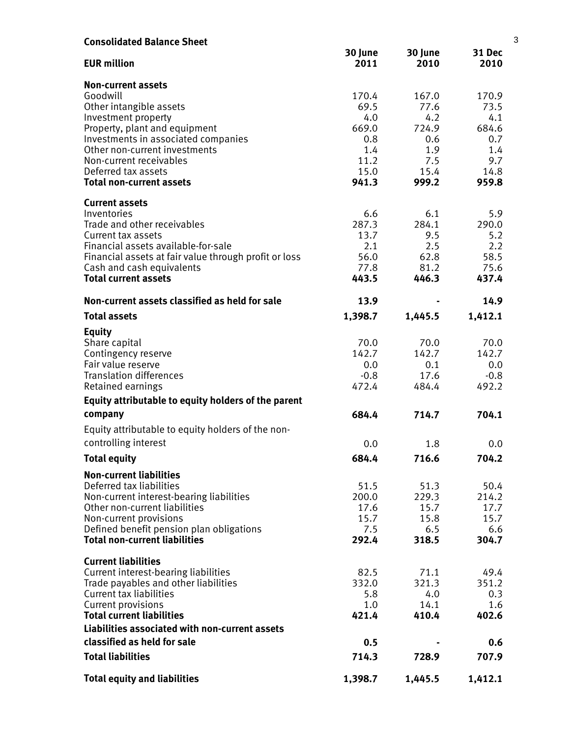| <b>Consolidated Balance Sheet</b>                                                |                 |                 |                 | 3 |
|----------------------------------------------------------------------------------|-----------------|-----------------|-----------------|---|
| <b>EUR million</b>                                                               | 30 June<br>2011 | 30 June<br>2010 | 31 Dec<br>2010  |   |
| <b>Non-current assets</b>                                                        |                 |                 |                 |   |
| Goodwill                                                                         | 170.4           | 167.0           | 170.9           |   |
| Other intangible assets                                                          | 69.5            | 77.6            | 73.5            |   |
| Investment property                                                              | 4.0             | 4.2             | 4.1             |   |
| Property, plant and equipment<br>Investments in associated companies             | 669.0<br>0.8    | 724.9<br>0.6    | 684.6<br>0.7    |   |
| Other non-current investments                                                    | 1.4             | 1.9             | 1.4             |   |
| Non-current receivables                                                          | 11.2            | 7.5             | 9.7             |   |
| Deferred tax assets                                                              | 15.0            | 15.4            | 14.8            |   |
| <b>Total non-current assets</b>                                                  | 941.3           | 999.2           | 959.8           |   |
| <b>Current assets</b>                                                            |                 |                 |                 |   |
| Inventories                                                                      | 6.6             | 6.1             | 5.9             |   |
| Trade and other receivables<br>Current tax assets                                | 287.3<br>13.7   | 284.1<br>9.5    | 290.0<br>5.2    |   |
| Financial assets available-for-sale                                              | 2.1             | 2.5             | 2.2             |   |
| Financial assets at fair value through profit or loss                            | 56.0            | 62.8            | 58.5            |   |
| Cash and cash equivalents                                                        | 77.8            | 81.2            | 75.6            |   |
| <b>Total current assets</b>                                                      | 443.5           | 446.3           | 437.4           |   |
| Non-current assets classified as held for sale                                   | 13.9            |                 | 14.9            |   |
| <b>Total assets</b>                                                              | 1,398.7         | 1,445.5         | 1,412.1         |   |
| <b>Equity</b>                                                                    |                 |                 |                 |   |
| Share capital                                                                    | 70.0            | 70.0            | 70.0            |   |
| Contingency reserve                                                              | 142.7           | 142.7           | 142.7           |   |
| Fair value reserve                                                               | 0.0             | 0.1             | 0.0             |   |
| <b>Translation differences</b><br>Retained earnings                              | $-0.8$<br>472.4 | 17.6<br>484.4   | $-0.8$<br>492.2 |   |
| Equity attributable to equity holders of the parent                              |                 |                 |                 |   |
| company                                                                          | 684.4           | 714.7           | 704.1           |   |
| Equity attributable to equity holders of the non-                                |                 |                 |                 |   |
| controlling interest                                                             | 0.0             | 1.8             | 0.0             |   |
| <b>Total equity</b>                                                              | 684.4           | 716.6           | 704.2           |   |
| <b>Non-current liabilities</b>                                                   |                 |                 |                 |   |
| Deferred tax liabilities                                                         | 51.5            | 51.3            | 50.4            |   |
| Non-current interest-bearing liabilities                                         | 200.0           | 229.3           | 214.2           |   |
| Other non-current liabilities                                                    | 17.6            | 15.7            | 17.7            |   |
| Non-current provisions                                                           | 15.7            | 15.8            | 15.7            |   |
| Defined benefit pension plan obligations<br><b>Total non-current liabilities</b> | 7.5<br>292.4    | 6.5<br>318.5    | 6.6<br>304.7    |   |
| <b>Current liabilities</b>                                                       |                 |                 |                 |   |
| Current interest-bearing liabilities                                             | 82.5            | 71.1            | 49.4            |   |
| Trade payables and other liabilities                                             | 332.0           | 321.3           | 351.2           |   |
| <b>Current tax liabilities</b>                                                   | 5.8             | 4.0             | 0.3             |   |
| Current provisions                                                               | 1.0             | 14.1            | 1.6             |   |
| <b>Total current liabilities</b>                                                 | 421.4           | 410.4           | 402.6           |   |
| Liabilities associated with non-current assets                                   |                 |                 |                 |   |
| classified as held for sale                                                      | 0.5             |                 | 0.6             |   |
| <b>Total liabilities</b>                                                         | 714.3           | 728.9           | 707.9           |   |
| <b>Total equity and liabilities</b>                                              | 1,398.7         | 1,445.5         | 1,412.1         |   |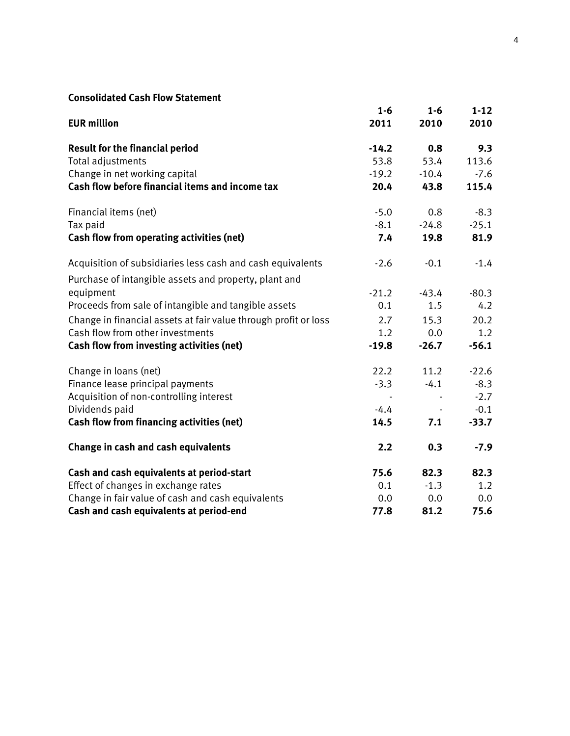# **Consolidated Cash Flow Statement**

| Consolidated Cash Tlow Statement                                |         |         |          |
|-----------------------------------------------------------------|---------|---------|----------|
|                                                                 | $1 - 6$ | $1-6$   | $1 - 12$ |
| <b>EUR million</b>                                              | 2011    | 2010    | 2010     |
| <b>Result for the financial period</b>                          | $-14.2$ | 0.8     | 9.3      |
| Total adjustments                                               | 53.8    | 53.4    | 113.6    |
| Change in net working capital                                   | $-19.2$ | $-10.4$ | $-7.6$   |
| Cash flow before financial items and income tax                 | 20.4    | 43.8    | 115.4    |
| Financial items (net)                                           | $-5.0$  | 0.8     | $-8.3$   |
| Tax paid                                                        | $-8.1$  | $-24.8$ | $-25.1$  |
| <b>Cash flow from operating activities (net)</b>                | 7.4     | 19.8    | 81.9     |
| Acquisition of subsidiaries less cash and cash equivalents      | $-2.6$  | $-0.1$  | $-1.4$   |
| Purchase of intangible assets and property, plant and           |         |         |          |
| equipment                                                       | $-21.2$ | $-43.4$ | $-80.3$  |
| Proceeds from sale of intangible and tangible assets            | 0.1     | 1.5     | 4.2      |
| Change in financial assets at fair value through profit or loss | 2.7     | 15.3    | 20.2     |
| Cash flow from other investments                                | 1.2     | 0.0     | 1.2      |
| Cash flow from investing activities (net)                       | $-19.8$ | $-26.7$ | $-56.1$  |
| Change in loans (net)                                           | 22.2    | 11.2    | $-22.6$  |
| Finance lease principal payments                                | $-3.3$  | $-4.1$  | $-8.3$   |
| Acquisition of non-controlling interest                         |         |         | $-2.7$   |
| Dividends paid                                                  | $-4.4$  |         | $-0.1$   |
| <b>Cash flow from financing activities (net)</b>                | 14.5    | 7.1     | $-33.7$  |
| Change in cash and cash equivalents                             | 2.2     | 0.3     | $-7.9$   |
| Cash and cash equivalents at period-start                       | 75.6    | 82.3    | 82.3     |
| Effect of changes in exchange rates                             | 0.1     | $-1.3$  | 1.2      |
| Change in fair value of cash and cash equivalents               | 0.0     | 0.0     | 0.0      |
| Cash and cash equivalents at period-end                         | 77.8    | 81.2    | 75.6     |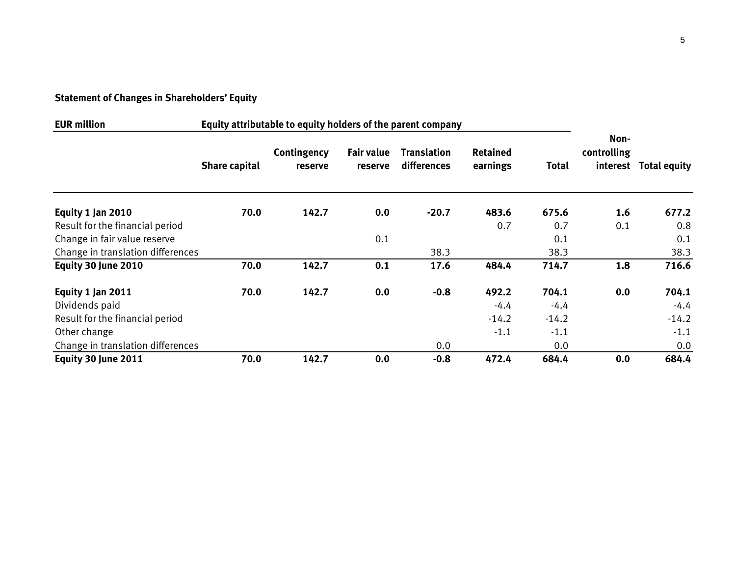# **Statement of Changes in Shareholders' Equity**

| <b>EUR million</b><br>Equity attributable to equity holders of the parent company |                      |                        |                              |                                   |                             |              |                     |                       |
|-----------------------------------------------------------------------------------|----------------------|------------------------|------------------------------|-----------------------------------|-----------------------------|--------------|---------------------|-----------------------|
|                                                                                   | <b>Share capital</b> | Contingency<br>reserve | <b>Fair value</b><br>reserve | <b>Translation</b><br>differences | <b>Retained</b><br>earnings | <b>Total</b> | Non-<br>controlling | interest Total equity |
| Equity 1 Jan 2010                                                                 | 70.0                 | 142.7                  | 0.0                          | $-20.7$                           | 483.6                       | 675.6        | 1.6                 | 677.2                 |
| Result for the financial period                                                   |                      |                        |                              |                                   | 0.7                         | 0.7          | 0.1                 | 0.8                   |
| Change in fair value reserve                                                      |                      |                        | 0.1                          |                                   |                             | 0.1          |                     | 0.1                   |
| Change in translation differences                                                 |                      |                        |                              | 38.3                              |                             | 38.3         |                     | 38.3                  |
| Equity 30 June 2010                                                               | 70.0                 | 142.7                  | 0.1                          | 17.6                              | 484.4                       | 714.7        | 1.8                 | 716.6                 |
| Equity 1 Jan 2011                                                                 | 70.0                 | 142.7                  | 0.0                          | $-0.8$                            | 492.2                       | 704.1        | 0.0                 | 704.1                 |
| Dividends paid                                                                    |                      |                        |                              |                                   | $-4.4$                      | $-4.4$       |                     | $-4.4$                |
| Result for the financial period                                                   |                      |                        |                              |                                   | $-14.2$                     | $-14.2$      |                     | $-14.2$               |
| Other change                                                                      |                      |                        |                              |                                   | $-1.1$                      | $-1.1$       |                     | $-1.1$                |
| Change in translation differences                                                 |                      |                        |                              | 0.0                               |                             | 0.0          |                     | 0.0                   |
| Equity 30 June 2011                                                               | 70.0                 | 142.7                  | 0.0                          | $-0.8$                            | 472.4                       | 684.4        | 0.0                 | 684.4                 |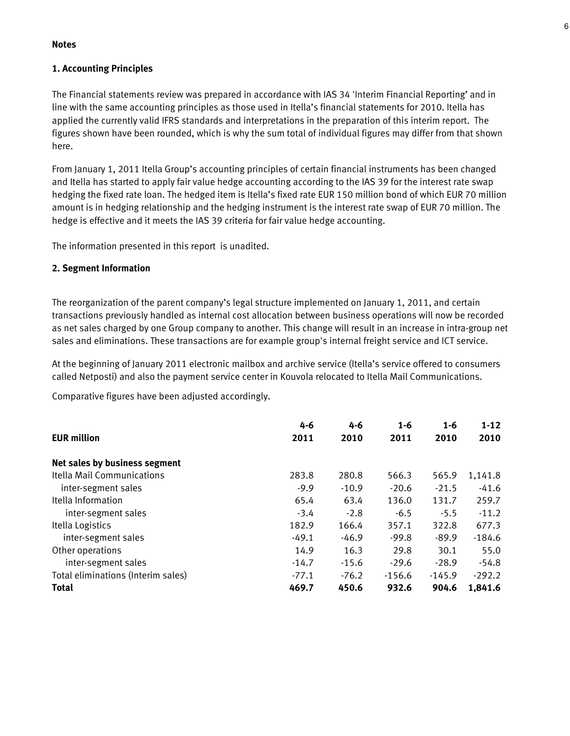#### **Notes**

#### **1. Accounting Principles**

The Financial statements review was prepared in accordance with IAS 34 'Interim Financial Reporting' and in line with the same accounting principles as those used in Itella's financial statements for 2010. Itella has applied the currently valid IFRS standards and interpretations in the preparation of this interim report. The figures shown have been rounded, which is why the sum total of individual figures may differ from that shown here.

From January 1, 2011 Itella Group's accounting principles of certain financial instruments has been changed and Itella has started to apply fair value hedge accounting according to the IAS 39 for the interest rate swap hedging the fixed rate loan. The hedged item is Itella's fixed rate EUR 150 million bond of which EUR 70 million amount is in hedging relationship and the hedging instrument is the interest rate swap of EUR 70 million. The hedge is effective and it meets the IAS 39 criteria for fair value hedge accounting.

The information presented in this report is unadited.

#### **2. Segment Information**

The reorganization of the parent company's legal structure implemented on January 1, 2011, and certain transactions previously handled as internal cost allocation between business operations will now be recorded as net sales charged by one Group company to another. This change will result in an increase in intra-group net sales and eliminations. These transactions are for example group's internal freight service and ICT service.

At the beginning of January 2011 electronic mailbox and archive service (Itella's service offered to consumers called Netposti) and also the payment service center in Kouvola relocated to Itella Mail Communications. Communications.

Comparative figures have been adjusted accordingly.

|                                    | 4-6     | 4-6     | $1 - 6$  | $1 - 6$  | $1 - 12$ |
|------------------------------------|---------|---------|----------|----------|----------|
| <b>EUR million</b>                 | 2011    | 2010    | 2011     | 2010     | 2010     |
| Net sales by business segment      |         |         |          |          |          |
| Itella Mail Communications         | 283.8   | 280.8   | 566.3    | 565.9    | 1,141.8  |
| inter-segment sales                | $-9.9$  | $-10.9$ | $-20.6$  | $-21.5$  | $-41.6$  |
| Itella Information                 | 65.4    | 63.4    | 136.0    | 131.7    | 259.7    |
| inter-segment sales                | $-3.4$  | $-2.8$  | $-6.5$   | $-5.5$   | $-11.2$  |
| Itella Logistics                   | 182.9   | 166.4   | 357.1    | 322.8    | 677.3    |
| inter-segment sales                | $-49.1$ | $-46.9$ | $-99.8$  | $-89.9$  | $-184.6$ |
| Other operations                   | 14.9    | 16.3    | 29.8     | 30.1     | 55.0     |
| inter-segment sales                | $-14.7$ | $-15.6$ | $-29.6$  | $-28.9$  | $-54.8$  |
| Total eliminations (Interim sales) | $-77.1$ | $-76.2$ | $-156.6$ | $-145.9$ | $-292.2$ |
| <b>Total</b>                       | 469.7   | 450.6   | 932.6    | 904.6    | 1,841.6  |

6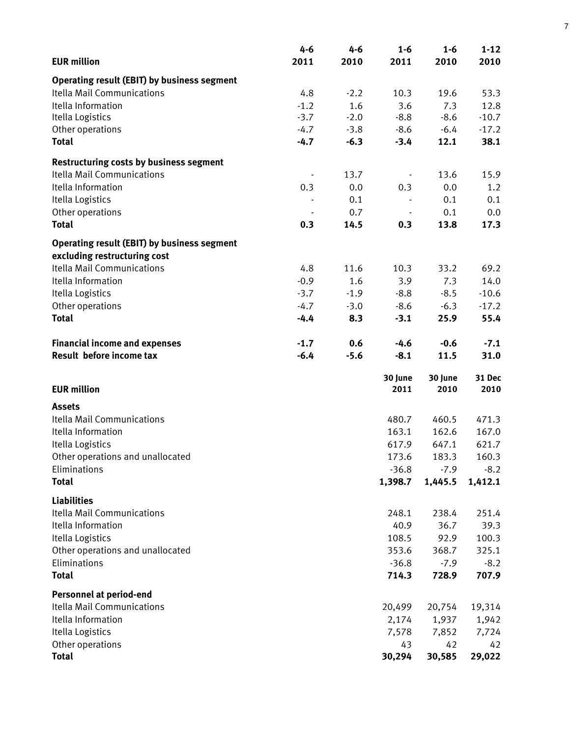|                                                    | 4-6    | 4-6    | $1 - 6$ | $1 - 6$ | $1 - 12$ |
|----------------------------------------------------|--------|--------|---------|---------|----------|
| <b>EUR million</b>                                 | 2011   | 2010   | 2011    | 2010    | 2010     |
| <b>Operating result (EBIT) by business segment</b> |        |        |         |         |          |
| Itella Mail Communications                         | 4.8    | $-2.2$ | 10.3    | 19.6    | 53.3     |
| Itella Information                                 | $-1.2$ | 1.6    | 3.6     | 7.3     | 12.8     |
| Itella Logistics                                   | $-3.7$ | $-2.0$ | $-8.8$  | $-8.6$  | $-10.7$  |
| Other operations                                   | $-4.7$ | $-3.8$ | $-8.6$  | $-6.4$  | $-17.2$  |
| <b>Total</b>                                       | $-4.7$ | $-6.3$ | $-3.4$  | 12.1    | 38.1     |
| <b>Restructuring costs by business segment</b>     |        |        |         |         |          |
| <b>Itella Mail Communications</b>                  |        | 13.7   |         | 13.6    | 15.9     |
| Itella Information                                 | 0.3    | 0.0    | 0.3     | 0.0     | 1.2      |
| Itella Logistics                                   |        | 0.1    |         | 0.1     | 0.1      |
| Other operations                                   |        | 0.7    |         | 0.1     | 0.0      |
| <b>Total</b>                                       | 0.3    | 14.5   | 0.3     | 13.8    | 17.3     |
| <b>Operating result (EBIT) by business segment</b> |        |        |         |         |          |
| excluding restructuring cost                       |        |        |         |         |          |
| <b>Itella Mail Communications</b>                  | 4.8    | 11.6   | 10.3    | 33.2    | 69.2     |
| Itella Information                                 | $-0.9$ | 1.6    | 3.9     | 7.3     | 14.0     |
| Itella Logistics                                   | $-3.7$ | $-1.9$ | $-8.8$  | $-8.5$  | $-10.6$  |
| Other operations                                   | $-4.7$ | $-3.0$ | $-8.6$  | $-6.3$  | $-17.2$  |
| <b>Total</b>                                       | $-4.4$ | 8.3    | $-3.1$  | 25.9    | 55.4     |
| <b>Financial income and expenses</b>               | $-1.7$ | 0.6    | $-4.6$  | $-0.6$  | $-7.1$   |
| Result before income tax                           | $-6.4$ | $-5.6$ | $-8.1$  | 11.5    | 31.0     |
|                                                    |        |        | 30 June | 30 June | 31 Dec   |
| <b>EUR million</b>                                 |        |        | 2011    | 2010    | 2010     |
| <b>Assets</b>                                      |        |        |         |         |          |
| Itella Mail Communications                         |        |        | 480.7   | 460.5   | 471.3    |
| Itella Information                                 |        |        | 163.1   | 162.6   | 167.0    |
| Itella Logistics                                   |        |        | 617.9   | 647.1   | 621.7    |
| Other operations and unallocated                   |        |        | 173.6   | 183.3   | 160.3    |
| Eliminations                                       |        |        | $-36.8$ | $-7.9$  | $-8.2$   |
| <b>Total</b>                                       |        |        | 1,398.7 | 1,445.5 | 1,412.1  |
| <b>Liabilities</b>                                 |        |        |         |         |          |
| <b>Itella Mail Communications</b>                  |        |        | 248.1   | 238.4   | 251.4    |
| Itella Information                                 |        |        | 40.9    | 36.7    | 39.3     |
| Itella Logistics                                   |        |        | 108.5   | 92.9    | 100.3    |
| Other operations and unallocated                   |        |        | 353.6   | 368.7   | 325.1    |
| Eliminations                                       |        |        | $-36.8$ | $-7.9$  | $-8.2$   |
| <b>Total</b>                                       |        |        | 714.3   | 728.9   | 707.9    |
| <b>Personnel at period-end</b>                     |        |        |         |         |          |
| <b>Itella Mail Communications</b>                  |        |        | 20,499  | 20,754  | 19,314   |
| Itella Information                                 |        |        | 2,174   | 1,937   | 1,942    |
| Itella Logistics                                   |        |        | 7,578   | 7,852   | 7,724    |
| Other operations                                   |        |        | 43      | 42      | 42       |
| <b>Total</b>                                       |        |        | 30,294  | 30,585  | 29,022   |